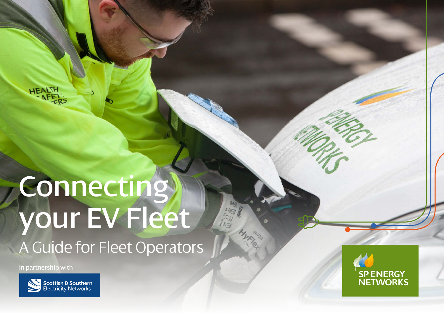HEALTH

# **Connecting** your EV Fleet A Guide for Fleet Operators

In partnership with



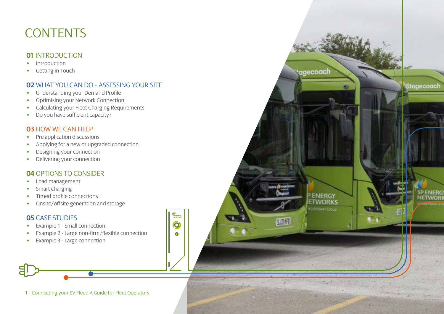# **CONTENTS**

### **01** INTRODUCTION<br>• Introduction

- 
- Getting in Touch

### **02** WHAT YOU CAN DO - ASSESSING YOUR SITE

tagecoach

**PENERGY** 

**ETWORKS** Ushittwen Group

 $5.019$ 

Stagecoach

**SPENERG** 

NETWOR

- Understanding your Demand Profile
- Optimising your Network Connection
- Calculating your Fleet Charging Requirements
- Do you have sufficient capacity?

### **03** HOW WE CAN HELP

- Pre application discussions
- Applying for a new or upgraded connection
- Designing your connection
- Delivering your connection

### **04** OPTIONS TO CONSIDER

- Load management
- Smart charging
- Timed profile connections
- Onsite/offsite generation and storage

### **05** CASE STUDIES

- Example 1 Small connection
- Example 2 Large non-firm/flexible connection
- Example 3 Large connection



SP ENERGY<br>NETWORKS

O  $\bullet$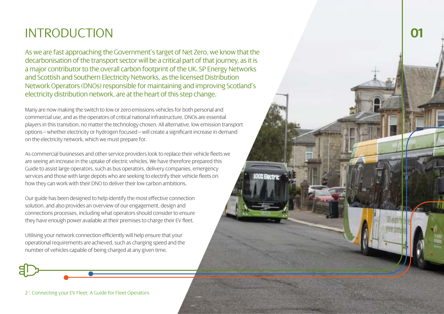# INTRODUCTION **0<sup>1</sup>**

As we are fast approaching the Government's target of Net Zero, we know that the decarbonisation of the transport sector will be a critical part of that journey, as it is a major contributor to the overall carbon footprint of the UK. SP Energy Networks and Scottish and Southern Electricity Networks, as the licensed Distribution Network Operators (DNOs) responsible for maintaining and improving Scotland's electricity distribution network, are at the heart of this step change.

Many are now making the switch to low or zero emissions vehicles for both personal and commercial use, and as the operators of critical national infrastructure, DNOs are essential players in this transition, no matter the technology chosen. All alternative, low emission transport options – whether electricity or hydrogen focused – will create a significant increase in demand on the electricity network, which we must prepare for.

As commercial businesses and other service providers look to replace their vehicle fleets we are seeing an increase in the uptake of electric vehicles. We have therefore prepared this Guide to assist large operators, such as bus operators, delivery companies, emergency services and those with large depots who are seeking to electrify their vehicle fleets on how they can work with their DNO to deliver their low carbon ambitions.

**OOX Electric** 

Our guide has been designed to help identify the most effective connection solution, and also provides an overview of our engagement, design and connections processes, including what operators should consider to ensure they have enough power available at their premises to charge their EV fleet.

Utilising your network connection efficiently will help ensure that your operational requirements are achieved, such as charging speed and the number of vehicles capable of being charged at any given time.

2 | Connecting your EV Fleet: A Guide for Fleet Operators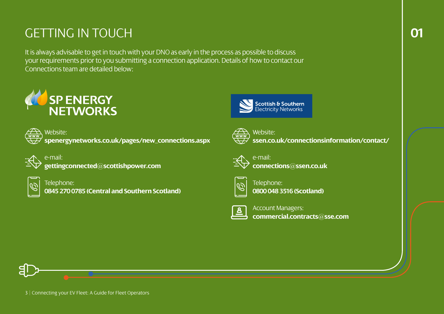# GETTING IN TOUCH **01**

It is always advisable to get in touch with your DNO as early in the process as possible to discuss your requirements prior to you submitting a connection application. Details of how to contact our Connections team are detailed below:





**AD** Website: **[spenergynetworks.co.uk/pages/new\\_connections.aspx](http://spenergynetworks.co.uk/pages/new_connections.aspx)**

e-mail: **[gettingconnected@scottishpower.com](mailto:gettingconnected%40scottishpower.com?subject=)**



Telephone: **0845 270 0785 (Central and Southern Scotland)**





Website: **[ssen.co.uk/connectionsinformation/contact/](http://ssen.co.uk/connectionsinformation/contact/)**



e-mail: **[connections@ssen.co.uk](mailto:connections%40ssen.co.uk?subject=)**



Telephone: **0800 048 3516 (Scotland)**



Account Managers: **[commercial.contracts@sse.com](mailto:commercial.contracts%40sse.com?subject=)**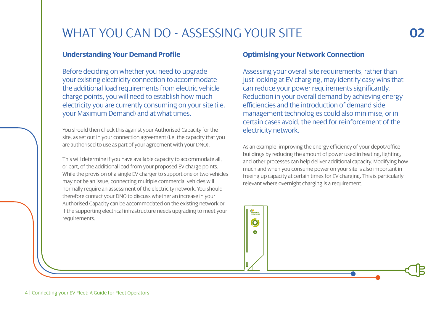## WHAT YOU CAN DO - ASSESSING YOUR SITE **02**

#### **Understanding Your Demand Profile**

Before deciding on whether you need to upgrade your existing electricity connection to accommodate the additional load requirements from electric vehicle charge points, you will need to establish how much electricity you are currently consuming on your site (i.e. your Maximum Demand) and at what times.

You should then check this against your Authorised Capacity for the site, as set out in your connection agreement (i.e. the capacity that you are authorised to use as part of your agreement with your DNO).

This will determine if you have available capacity to accommodate all, or part, of the additional load from your proposed EV charge points. While the provision of a single EV charger to support one or two vehicles may not be an issue, connecting multiple commercial vehicles will normally require an assessment of the electricity network. You should therefore contact your DNO to discuss whether an increase in your Authorised Capacity can be accommodated on the existing network or if the supporting electrical infrastructure needs upgrading to meet your requirements.

#### **Optimising your Network Connection**

SP ENERGY O

Assessing your overall site requirements, rather than just looking at EV charging, may identify easy wins that can reduce your power requirements significantly. Reduction in your overall demand by achieving energy efficiencies and the introduction of demand side management technologies could also minimise, or in certain cases avoid, the need for reinforcement of the electricity network.

As an example, improving the energy efficiency of your depot/office buildings by reducing the amount of power used in heating, lighting, and other processes can help deliver additional capacity. Modifying how much and when you consume power on your site is also important in freeing up capacity at certain times for EV charging. This is particularly relevant where overnight charging is a requirement.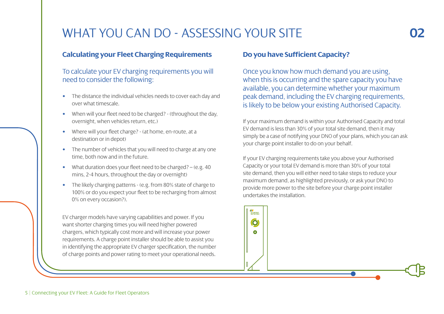# WHAT YOU CAN DO - ASSESSING YOUR SITE

#### **Calculating your Fleet Charging Requirements**

#### To calculate your EV charging requirements you will need to consider the following:

- The distance the individual vehicles needs to cover each day and over what timescale.
- When will your fleet need to be charged? (throughout the day, overnight, when vehicles return, etc.)
- Where will your fleet charge? (at home, en-route, at a destination or in depot)
- The number of vehicles that you will need to charge at any one time, both now and in the future.
- What duration does your fleet need to be charged? (e.g. 40) mins, 2-4 hours, throughout the day or overnight)
- The likely charging patterns (e.g. from 80% state of charge to 100% or do you expect your fleet to be recharging from almost 0% on every occasion?).

EV charger models have varying capabilities and power. If you want shorter charging times you will need higher powered chargers, which typically cost more and will increase your power requirements. A charge point installer should be able to assist you in identifying the appropriate EV charger specification, the number of charge points and power rating to meet your operational needs.

#### **Do you have Sufficient Capacity?**

Once you know how much demand you are using, when this is occurring and the spare capacity you have available, you can determine whether your maximum peak demand, including the EV charging requirements, is likely to be below your existing Authorised Capacity.

If your maximum demand is within your Authorised Capacity and total EV demand is less than 30% of your total site demand, then it may simply be a case of notifying your DNO of your plans, which you can ask your charge point installer to do on your behalf.

If your EV charging requirements take you above your Authorised Capacity or your total EV demand is more than 30% of your total site demand, then you will either need to take steps to reduce your maximum demand, as highlighted previously, or ask your DNO to provide more power to the site before your charge point installer undertakes the installation.

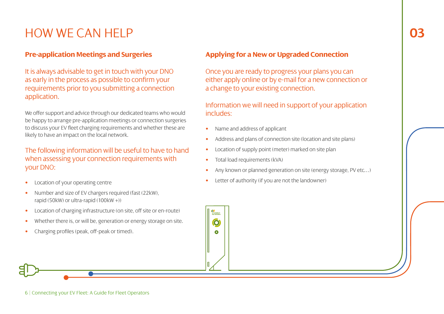# HOW WE CAN HELP

### **Pre-application Meetings and Surgeries**

It is always advisable to get in touch with your DNO as early in the process as possible to confirm your requirements prior to you submitting a connection application.

We offer support and advice through our dedicated teams who would be happy to arrange pre-application meetings or connection surgeries to discuss your EV fleet charging requirements and whether these are likely to have an impact on the local network.

The following information will be useful to have to hand when assessing your connection requirements with your DNO:

- Location of your operating centre
- Number and size of EV chargers required (fast (22kW), rapid (50kW) or ultra-rapid (100kW +))
- Location of charging infrastructure (on site, off site or en-route)
- Whether there is, or will be, generation or energy storage on site.
- Charging profiles (peak, off-peak or timed).

6 | Connecting your EV Fleet: A Guide for Fleet Operators

### **Applying for a New or Upgraded Connection**

Once you are ready to progress your plans you can either apply online or by e-mail for a new connection or a change to your existing connection.

Information we will need in support of your application includes:

- Name and address of applicant
- Address and plans of connection site (location and site plans)
- Location of supply point (meter) marked on site plan
- Total load requirements (kVA)

Ô  $\bullet$ 

- Any known or planned generation on site (energy storage, PV etc…)
- Letter of authority (if you are not the landowner)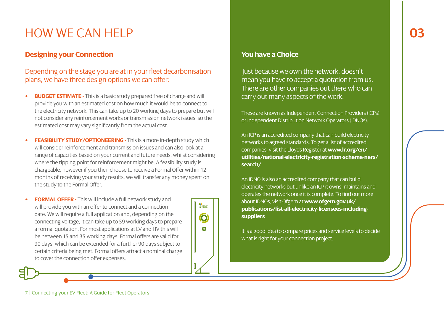### **03**

# HOW WE CAN HELP

#### **Designing your Connection**

#### Depending on the stage you are at in your fleet decarbonisation plans, we have three design options we can offer:

- **BUDGET ESTIMATE -** This is a basic study prepared free of charge and will provide you with an estimated cost on how much it would be to connect to the electricity network. This can take up to 20 working days to prepare but will not consider any reinforcement works or transmission network issues, so the estimated cost may vary significantly from the actual cost.
- **FEASIBILITY STUDY/OPTIONEERING -** This is a more in-depth study which will consider reinforcement and transmission issues and can also look at a range of capacities based on your current and future needs, whilst considering where the tipping point for reinforcement might be. A feasibility study is chargeable, however if you then choose to receive a Formal Offer within 12 months of receiving your study results, we will transfer any money spent on the study to the Formal Offer.

SP ENERGY

O

 $\bullet$ 

• **FORMAL OFFER -** This will include a full network study and will provide you with an offer to connect and a connection date. We will require a full application and, depending on the connecting voltage, it can take up to 59 working days to prepare a formal quotation. For most applications at LV and HV this will be between 15 and 35 working days. Formal offers are valid for 90 days, which can be extended for a further 90 days subject to certain criteria being met. Formal offers attract a nominal charge to cover the connection offer expenses.

#### **You have a Choice**

Just because we own the network, doesn't mean you have to accept a quotation from us. There are other companies out there who can carry out many aspects of the work.

These are known as Independent Connection Providers (ICPs) or Independent Distribution Network Operators (IDNOs).

An ICP is an accredited company that can build electricity networks to agreed standards. To get a list of accredited companies, visit the Lloyds Register at **[www.lr.org/en/](http://www.lr.org/en/ utilities/national-electricity-registration-scheme-ners/search/) [utilities/national-electricity-registration-scheme-ners/](http://www.lr.org/en/ utilities/national-electricity-registration-scheme-ners/search/) [search/](http://www.lr.org/en/ utilities/national-electricity-registration-scheme-ners/search/)**

An IDNO is also an accredited company that can build electricity networks but unlike an ICP it owns, maintains and operates the network once it is complete. To find out more about IDNOs, visit Ofgem at **[www.ofgem.gov.uk/](http://www.ofgem.gov.uk/ publications/list-all-electricity-licensees-including-suppliers) [publications/list-all-electricity-licensees-including](http://www.ofgem.gov.uk/ publications/list-all-electricity-licensees-including-suppliers)[suppliers](http://www.ofgem.gov.uk/ publications/list-all-electricity-licensees-including-suppliers)**

It is a good idea to compare prices and service levels to decide what is right for your connection project.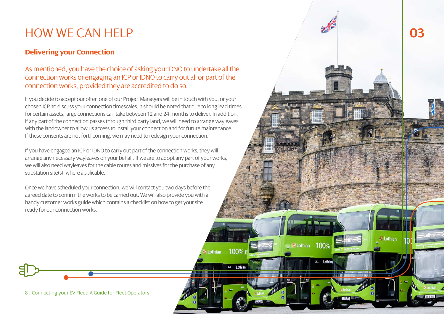# HOW WE CAN HELP **03**

### **Delivering your Connection**

### As mentioned, you have the choice of asking your DNO to undertake all the connection works or engaging an ICP or IDNO to carry out all or part of the connection works, provided they are accredited to do so.

If you decide to accept our offer, one of our Project Managers will be in touch with you, or your chosen ICP, to discuss your connection timescales. It should be noted that due to long lead times for certain assets, large connections can take between 12 and 24 months to deliver. In addition, if any part of the connection passes through third party land, we will need to arrange wayleaves with the landowner to allow us access to install your connection and for future maintenance. If these consents are not forthcoming, we may need to redesign your connection.

If you have engaged an ICP or IDNO to carry out part of the connection works, they will arrange any necessary wayleaves on your behalf. If we are to adopt any part of your works, we will also need wayleaves for the cable routes and missives for the purchase of any substation site(s), where applicable.

100%

292 Lothian

**Execution** 

100%

291 Lothian

**ELothian** 

Once we have scheduled your connection, we will contact you two days before the agreed date to confirm the works to be carried out. We will also provide you with a handy customer works guide which contains a checklist on how to get your site ready for our connection works.

8 | Connecting your EV Fleet: A Guide for Fleet Operators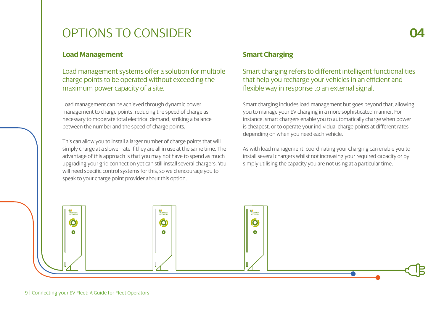## OPTIONS TO CONSIDER **04**

### **Load Management**

Load management systems offer a solution for multiple charge points to be operated without exceeding the maximum power capacity of a site.

Load management can be achieved through dynamic power management to charge points, reducing the speed of charge as necessary to moderate total electrical demand, striking a balance between the number and the speed of charge points.

This can allow you to install a larger number of charge points that will simply charge at a slower rate if they are all in use at the same time. The advantage of this approach is that you may not have to spend as much upgrading your grid connection yet can still install several chargers. You will need specific control systems for this, so we'd encourage you to speak to your charge point provider about this option.

### **Smart Charging**

### Smart charging refers to different intelligent functionalities that help you recharge your vehicles in an efficient and flexible way in response to an external signal.

Smart charging includes load management but goes beyond that, allowing you to manage your EV charging in a more sophisticated manner. For instance, smart chargers enable you to automatically charge when power is cheapest, or to operate your individual charge points at different rates depending on when you need each vehicle.

As with load management, coordinating your charging can enable you to install several chargers whilst not increasing your required capacity or by simply utilising the capacity you are not using at a particular time.

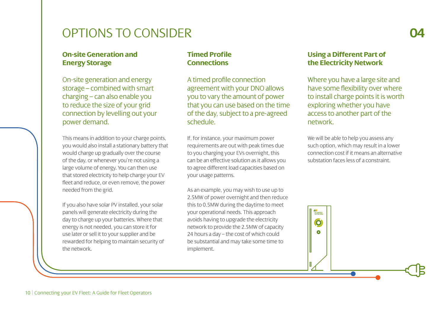### OPTIONS TO CONSIDER **04**

#### **On-site Generation and Energy Storage**

On-site generation and energy storage – combined with smart charging – can also enable you to reduce the size of your grid connection by levelling out your power demand.

This means in addition to your charge points, you would also install a stationary battery that would charge up gradually over the course of the day, or whenever you're not using a large volume of energy. You can then use that stored electricity to help charge your EV fleet and reduce, or even remove, the power needed from the grid.

If you also have solar PV installed, your solar panels will generate electricity during the day to charge up your batteries. Where that energy is not needed, you can store it for use later or sell it to your supplier and be rewarded for helping to maintain security of the network.

#### **Timed Profile Connections**

A timed profile connection agreement with your DNO allows you to vary the amount of power that you can use based on the time of the day, subject to a pre-agreed schedule.

If, for instance, your maximum power requirements are out with peak times due to you charging your EVs overnight, this can be an effective solution as it allows you to agree different load capacities based on your usage patterns.

As an example, you may wish to use up to 2.5MW of power overnight and then reduce this to 0.5MW during the daytime to meet your operational needs. This approach avoids having to upgrade the electricity network to provide the 2.5MW of capacity 24 hours a day – the cost of which could be substantial and may take some time to implement.

#### **Using a Different Part of the Electricity Network**

Where you have a large site and have some flexibility over where to install charge points it is worth exploring whether you have access to another part of the network.

We will be able to help you assess any such option, which may result in a lower connection cost if it means an alternative substation faces less of a constraint.

SPENERGY  $\ddot{\mathbf{O}}$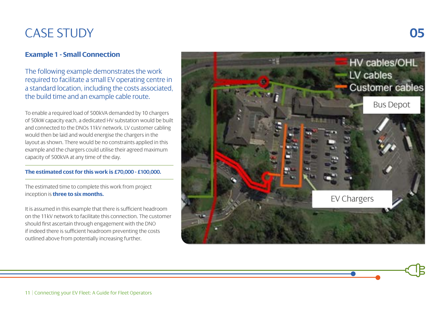# CASE STUDY **05**

### **Example 1 - Small Connection**

The following example demonstrates the work required to facilitate a small EV operating centre in a standard location, including the costs associated, the build time and an example cable route.

To enable a required load of 500kVA demanded by 10 chargers of 50kW capacity each, a dedicated HV substation would be built and connected to the DNOs 11kV network. LV customer cabling would then be laid and would energise the chargers in the layout as shown. There would be no constraints applied in this example and the chargers could utilise their agreed maximum capacity of 500kVA at any time of the day.

#### **The estimated cost for this work is £70,000 - £100,000.**

The estimated time to complete this work from project inception is **three to six months.**

It is assumed in this example that there is sufficient headroom on the 11kV network to facilitate this connection. The customer should first ascertain through engagement with the DNO if indeed there is sufficient headroom preventing the costs outlined above from potentially increasing further.

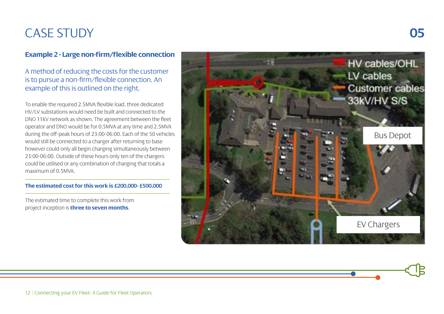# CASE STUDY **05**

### **Example 2 - Large non-firm/flexible connection**

### A method of reducing the costs for the customer is to pursue a non-firm/flexible connection. An example of this is outlined on the right.

To enable the required 2.5MVA flexible load, three dedicated HV/LV substations would need be built and connected to the DNO 11kV network as shown. The agreement between the fleet operator and DNO would be for 0.5MVA at any time and 2.5MVA during the off-peak hours of 23:00-06:00. Each of the 50 vehicles would still be connected to a charger after returning to base however could only all begin charging simultaneously between 23:00-06:00. Outside of these hours only ten of the chargers could be utilised or any combination of charging that totals a maximum of 0.5MVA.

#### **The estimated cost for this work is £200,000- £500,000**

The estimated time to complete this work from project inception is **three to seven months**.

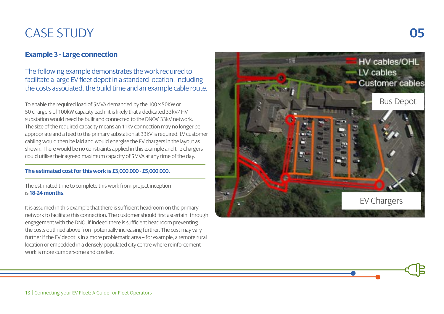# CASE STUDY **05**

### **Example 3 - Large connection**

The following example demonstrates the work required to facilitate a large EV fleet depot in a standard location, including the costs associated, the build time and an example cable route.

To enable the required load of 5MVA demanded by the 100 x 50KW or 50 chargers of 100kW capacity each, it is likely that a dedicated 33kV/ HV substation would need be built and connected to the DNOs' 33kV network. The size of the required capacity means an 11kV connection may no longer be appropriate and a feed to the primary substation at 33kV is required. LV customer cabling would then be laid and would energise the EV chargers in the layout as shown. There would be no constraints applied in this example and the chargers could utilise their agreed maximum capacity of 5MVA at any time of the day.

#### **The estimated cost for this work is £3,000,000 - £5,000,000.**

The estimated time to complete this work from project inception is **18-24 months**.

It is assumed in this example that there is sufficient headroom on the primary network to facilitate this connection. The customer should first ascertain, through engagement with the DNO, if indeed there is sufficient headroom preventing the costs outlined above from potentially increasing further. The cost may vary further if the EV depot is in a more problematic area – for example, a remote rural location or embedded in a densely populated city centre where reinforcement work is more cumbersome and costlier.

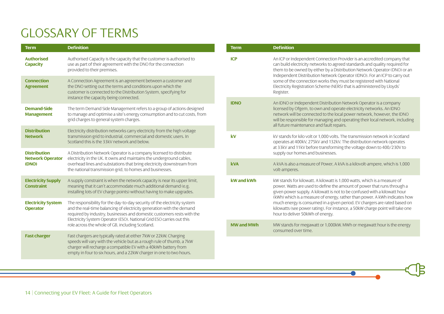# GLOSSARY OF TERMS

| <b>Term</b>                                             | <b>Definition</b>                                                                                                                                                                                                                                                                                    | <b>Term</b>       | <b>Definition</b>                                                                                                                                                                                                                                                                                                                                                                                                                                                                                                |
|---------------------------------------------------------|------------------------------------------------------------------------------------------------------------------------------------------------------------------------------------------------------------------------------------------------------------------------------------------------------|-------------------|------------------------------------------------------------------------------------------------------------------------------------------------------------------------------------------------------------------------------------------------------------------------------------------------------------------------------------------------------------------------------------------------------------------------------------------------------------------------------------------------------------------|
| <b>Authorised</b><br><b>Capacity</b>                    | Authorised Capacity is the capacity that the customer is authorised to<br>use as part of their agreement with the DNO for the connection<br>provided to their premises.                                                                                                                              | <b>ICP</b>        | An ICP or Independent Connection Provider is an accredited company that<br>can build electricity networks to agreed standards and quality required for<br>them to be owned by either by a Distribution Network Operator (DNO) or an<br>Independent Distribution Network Operator (IDNO). For an ICP to carry out<br>some of the connection works they must be registered with National<br>Electricity Registration Scheme (NERS) that is administered by Lloyds'<br>Register.                                    |
| <b>Connection</b><br><b>Agreement</b>                   | A Connection Agreement is an agreement between a customer and<br>the DNO setting out the terms and conditions upon which the<br>customer is connected to the Distribution System, specifying for<br>instance the capacity being connected.                                                           |                   |                                                                                                                                                                                                                                                                                                                                                                                                                                                                                                                  |
| <b>Demand-Side</b><br><b>Management</b>                 | The term Demand Side Management refers to a group of actions designed<br>to manage and optimise a site's energy consumption and to cut costs, from<br>grid charges to general system charges.                                                                                                        | <b>IDNO</b>       | An IDNO or Independent Distribution Network Operator is a company<br>licensed by Ofgem, to own and operate electricity networks. An IDNO<br>network will be connected to the local power network, however, the IDNO<br>will be responsible for managing and operating their local network, including<br>all future maintenance and fault repairs.                                                                                                                                                                |
| <b>Distribution</b><br><b>Network</b>                   | Electricity distribution networks carry electricity from the high voltage<br>transmission grid to industrial, commercial and domestic users. In<br>Scotland this is the 33kV network and below.                                                                                                      | kV                | kV stands for kilo volt or 1.000 volts. The transmission network in Scotland<br>operates at 400kV, 275kV and 132kV. The distribution network operates<br>at 33kV and 11kV before transforming the voltage down to 400/230V to<br>supply our homes and businesses.                                                                                                                                                                                                                                                |
| <b>Distribution</b><br><b>Network Operator</b><br>(DNO) | A Distribution Network Operator is a company licensed to distribute<br>electricity in the UK. It owns and maintains the underground cables,<br>overhead lines and substations that bring electricity downstream from<br>the national transmission grid, to homes and businesses.                     |                   |                                                                                                                                                                                                                                                                                                                                                                                                                                                                                                                  |
|                                                         |                                                                                                                                                                                                                                                                                                      | <b>kVA</b>        | A kVA is also a measure of Power, A kVA is a kilovolt-ampere, which is 1,000<br>volt-amperes.                                                                                                                                                                                                                                                                                                                                                                                                                    |
| <b>Electricity Supply</b><br><b>Constraint</b>          | A supply constraint is when the network capacity is near its upper limit,<br>meaning that it can't accommodate much additional demand (e.g.<br>installing lots of EV charge points) without having to make upgrades.                                                                                 | kW and kWh        | kW stands for kilowatt. A kilowatt is 1.000 watts, which is a measure of<br>power. Watts are used to define the amount of power that runs through a<br>given power supply. A kilowatt is not to be confused with a kilowatt hour<br>(kWh) which is a measure of energy, rather than power. A kWh indicates how<br>much energy is consumed in a given period. EV chargers are rated based on<br>kilowatts (see power rating). For instance, a 50kW charge point will take one<br>hour to deliver 50kWh of energy. |
| <b>Electricity System</b><br><b>Operator</b>            | The responsibility for the day-to-day security of the electricity system<br>and the real-time balancing of electricity generation with the demand<br>required by industry, businesses and domestic customers rests with the<br>Electricity System Operator (ESO). National Grid ESO carries out this |                   |                                                                                                                                                                                                                                                                                                                                                                                                                                                                                                                  |
|                                                         | role across the whole of GB, including Scotland.                                                                                                                                                                                                                                                     | <b>MW and MWh</b> | MW stands for megawatt or 1,000kW. MWh or megawatt hour is the energy<br>consumed over time.                                                                                                                                                                                                                                                                                                                                                                                                                     |
| <b>Fast charger</b>                                     | Fast chargers are typically rated at either 7kW or 22kW. Charging<br>speeds will vary with the vehicle but as a rough rule of thumb, a 7kW<br>charger will recharge a compatible EV with a 40kWh battery from<br>empty in four to six hours, and a 22kW charger in one to two hours.                 |                   |                                                                                                                                                                                                                                                                                                                                                                                                                                                                                                                  |

 $\overline{\bullet}$